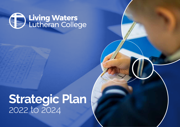# ES Living Waters<br>RES Lutheran College

# **Strategic Plan** 2022 to 2024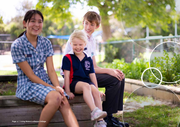**Page 2 | Living Waters Lutheran College**

Ä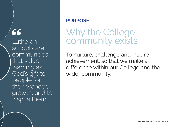66 Lutheran schools are communities that value learning as God's gift to people for their wonder, growth, and to inspire them ...

#### **PURPOSE**

Why the College community exists

To nurture, challenge and inspire achievement, so that we make a difference within our College and the wider community.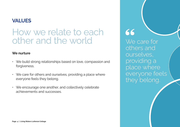#### **VALUES**

### How we relate to each other and the world

#### **We nurture**

- We build strong relationships based on love, compassion and forgiveness.
- We care for others and ourselves, providing a place where everyone feels they belong.
- We encourage one another, and collectively celebrate achievements and successes.

We care for others and ourselves, providing a place where everyone feels they belong.

 $66$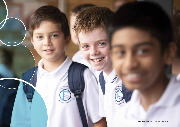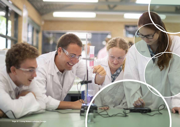**Page 6 | Living Waters Lutheran College**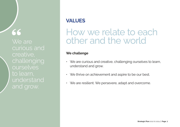We are curious and creative, **challenging** ourselves to learn, understand and grow.

#### **VALUES**

### How we relate to each other and the world

#### **We challenge**

- We are curious and creative, challenging ourselves to learn, understand and grow.
- We thrive on achievement and aspire to be our best.
- We are resilient. We persevere, adapt and overcome.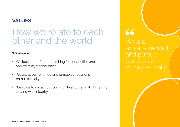#### **VALUES**

### How we relate to each other and the world

#### **We inspire**

- We look to the future, searching for possibilities and appreciating opportunities.
- We are action-oriented and pursue our passions enthusiastically.
- We strive to impact our community and the world for good, serving with integrity.

We are action-oriented and pursue our passions enthusiastically.

66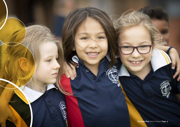**Strategic Plan** 2022 t0 2024 **| Page 9**

 $\sqrt{-1}$ 

G.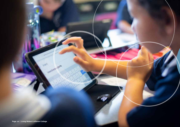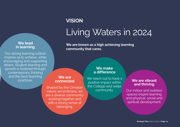#### **VISION**

**We are connected**

Shaped by the Christian values we embrace, we are a diverse community working together and with a strong sense of belonging.

# Living Waters in 2024

**We are known as a high achieving learning community that cares.**

Our strong learning culture inspires us to achieve, while encouraging and supporting others. Student learning and growth is fostered through contemporary thinking and the best teaching practices.

**We lead in learning**

#### **We make a difference**

We reach out to have a positive impact within the College and wider community.

#### **We are vibrant and thriving**

Our indoor and outdoor spaces inspire learning and physical, social and spiritual development.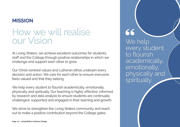#### **MISSION**

### How we will realise our Vision

At Living Waters, we achieve excellent outcomes for students, staff and the College through positive relationships in which we challenge and support each other to grow.

Our Christ-centred values and Lutheran ethos underpin every decision and action. We care for each other to ensure everyone feels valued and that they belong.

We help every student to flourish academically, emotionally, physically and spiritually. Our teaching is highly effective, informed by research and data analysis to ensure students are continually challenged, supported and engaged in their learning and growth.

We strive to strengthen the Living Waters community and reach out to make a positive contribution beyond the College gates.

We help every student to flourish academically, emotionally, physically and spiritually.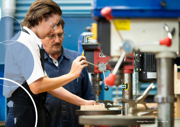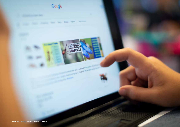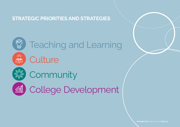#### **STRATEGIC PRIORITIES AND STRATEGIES**





# **Community**



# College Development

**Strategic Plan** 2022 t0 2024 **| Page 15**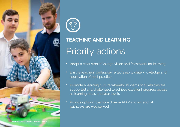



# **TEACHING AND LEARNING** Priority actions

- Adopt a clear whole College vision and framework for learning.
- Ensure teachers' pedagogy reflects up-to-date knowledge and application of best practice.
- Promote a learning culture whereby students of all abilities are supported and challenged to achieve excellent progress across all learning areas and year levels.
- Provide options to ensure diverse ATAR and vocational pathways are well served.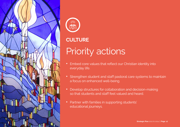



### **CULTURE** Priority actions

- Embed core values that reflect our Christian identity into everyday life.
- Strengthen student and staff pastoral care systems to maintain a focus on enhanced well-being.
- Develop structures for collaboration and decision-making so that students and staff feel valued and heard.
- Partner with families in supporting students' educational journeys.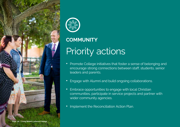



# **COMMUNITY** Priority actions

- Promote College initiatives that foster a sense of belonging and encourage strong connections between staff, students, senior leaders and parents.
- Engage with Alumni and build ongoing collaborations.
- Embrace opportunities to engage with local Christian communities, participate in service projects and partner with wider community agencies.
- Implement the Reconciliation Action Plan.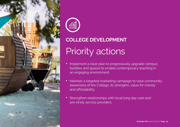



# **COLLEGE DEVELOPMENT** Priority actions

- Implement a clear plan to progressively upgrade campus facilities and spaces to enable contemporary teaching in an engaging environment.
- Maintain a targeted marketing campaign to raise community awareness of the College, its strengths, value for money and affordability.
- Strengthen relationships with local long day care and pre-kindy service providers.